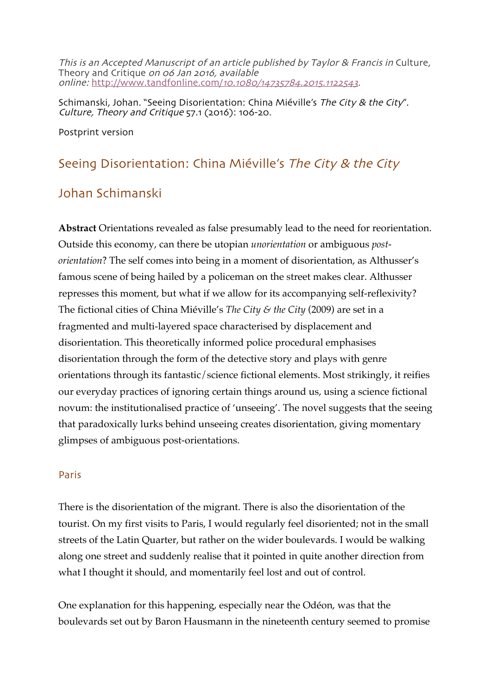This is an Accepted Manuscript of an article published by Taylor & Francis in Culture, Theory and Critique on 06 Jan 2016, available online: http://www.tandfonline.com/10.1080/14735784.2015.1122543.

Schimanski, Johan. "Seeing Disorientation: China Miéville's The City & the City". Culture, Theory and Critique 57.1 (2016): 106-20.

Postprint version

# Seeing Disorientation: China Miéville's The City & the City

# Johan Schimanski

**Abstract** Orientations revealed as false presumably lead to the need for reorientation. Outside this economy, can there be utopian *unorientation* or ambiguous *postorientation*? The self comes into being in a moment of disorientation, as Althusser's famous scene of being hailed by a policeman on the street makes clear. Althusser represses this moment, but what if we allow for its accompanying self-reflexivity? The fictional cities of China Miéville's *The City & the City* (2009) are set in a fragmented and multi-layered space characterised by displacement and disorientation. This theoretically informed police procedural emphasises disorientation through the form of the detective story and plays with genre orientations through its fantastic/science fictional elements. Most strikingly, it reifies our everyday practices of ignoring certain things around us, using a science fictional novum: the institutionalised practice of 'unseeing'. The novel suggests that the seeing that paradoxically lurks behind unseeing creates disorientation, giving momentary glimpses of ambiguous post-orientations.

#### Paris

There is the disorientation of the migrant. There is also the disorientation of the tourist. On my first visits to Paris, I would regularly feel disoriented; not in the small streets of the Latin Quarter, but rather on the wider boulevards. I would be walking along one street and suddenly realise that it pointed in quite another direction from what I thought it should, and momentarily feel lost and out of control.

One explanation for this happening, especially near the Odéon, was that the boulevards set out by Baron Hausmann in the nineteenth century seemed to promise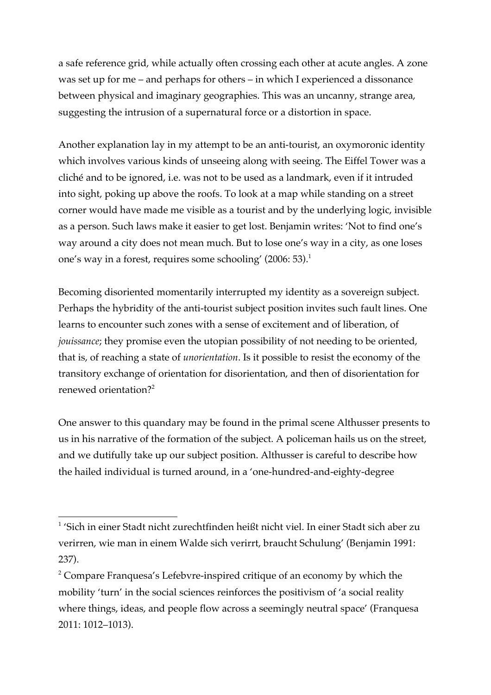a safe reference grid, while actually often crossing each other at acute angles. A zone was set up for me – and perhaps for others – in which I experienced a dissonance between physical and imaginary geographies. This was an uncanny, strange area, suggesting the intrusion of a supernatural force or a distortion in space.

Another explanation lay in my attempt to be an anti-tourist, an oxymoronic identity which involves various kinds of unseeing along with seeing. The Eiffel Tower was a cliché and to be ignored, i.e. was not to be used as a landmark, even if it intruded into sight, poking up above the roofs. To look at a map while standing on a street corner would have made me visible as a tourist and by the underlying logic, invisible as a person. Such laws make it easier to get lost. Benjamin writes: 'Not to find one's way around a city does not mean much. But to lose one's way in a city, as one loses one's way in a forest, requires some schooling' (2006: 53).<sup>1</sup>

Becoming disoriented momentarily interrupted my identity as a sovereign subject. Perhaps the hybridity of the anti-tourist subject position invites such fault lines. One learns to encounter such zones with a sense of excitement and of liberation, of *jouissance*; they promise even the utopian possibility of not needing to be oriented, that is, of reaching a state of *unorientation*. Is it possible to resist the economy of the transitory exchange of orientation for disorientation, and then of disorientation for renewed orientation?<sup>2</sup>

One answer to this quandary may be found in the primal scene Althusser presents to us in his narrative of the formation of the subject. A policeman hails us on the street, and we dutifully take up our subject position. Althusser is careful to describe how the hailed individual is turned around, in a 'one-hundred-and-eighty-degree

 <sup>1</sup> 'Sich in einer Stadt nicht zurechtfinden heißt nicht viel. In einer Stadt sich aber zu verirren, wie man in einem Walde sich verirrt, braucht Schulung' (Benjamin 1991: 237).

<sup>&</sup>lt;sup>2</sup> Compare Franquesa's Lefebvre-inspired critique of an economy by which the mobility 'turn' in the social sciences reinforces the positivism of 'a social reality where things, ideas, and people flow across a seemingly neutral space' (Franquesa 2011: 1012–1013).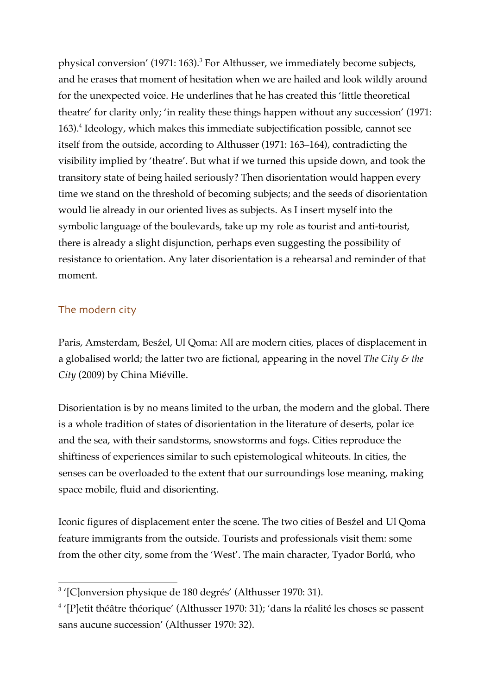physical conversion' (1971: 163).<sup>3</sup> For Althusser, we immediately become subjects, and he erases that moment of hesitation when we are hailed and look wildly around for the unexpected voice. He underlines that he has created this 'little theoretical theatre' for clarity only; 'in reality these things happen without any succession' (1971: 163).4 Ideology, which makes this immediate subjectification possible, cannot see itself from the outside, according to Althusser (1971: 163–164), contradicting the visibility implied by 'theatre'. But what if we turned this upside down, and took the transitory state of being hailed seriously? Then disorientation would happen every time we stand on the threshold of becoming subjects; and the seeds of disorientation would lie already in our oriented lives as subjects. As I insert myself into the symbolic language of the boulevards, take up my role as tourist and anti-tourist, there is already a slight disjunction, perhaps even suggesting the possibility of resistance to orientation. Any later disorientation is a rehearsal and reminder of that moment.

# The modern city

Paris, Amsterdam, Besźel, Ul Qoma: All are modern cities, places of displacement in a globalised world; the latter two are fictional, appearing in the novel *The City & the City* (2009) by China Miéville.

Disorientation is by no means limited to the urban, the modern and the global. There is a whole tradition of states of disorientation in the literature of deserts, polar ice and the sea, with their sandstorms, snowstorms and fogs. Cities reproduce the shiftiness of experiences similar to such epistemological whiteouts. In cities, the senses can be overloaded to the extent that our surroundings lose meaning, making space mobile, fluid and disorienting.

Iconic figures of displacement enter the scene. The two cities of Besźel and Ul Qoma feature immigrants from the outside. Tourists and professionals visit them: some from the other city, some from the 'West'. The main character, Tyador Borlú, who

 <sup>3</sup> '[C]onversion physique de 180 degrés' (Althusser 1970: 31).

 $4$  '[P]etit théâtre théorique' (Althusser 1970: 31); 'dans la réalité les choses se passent sans aucune succession' (Althusser 1970: 32).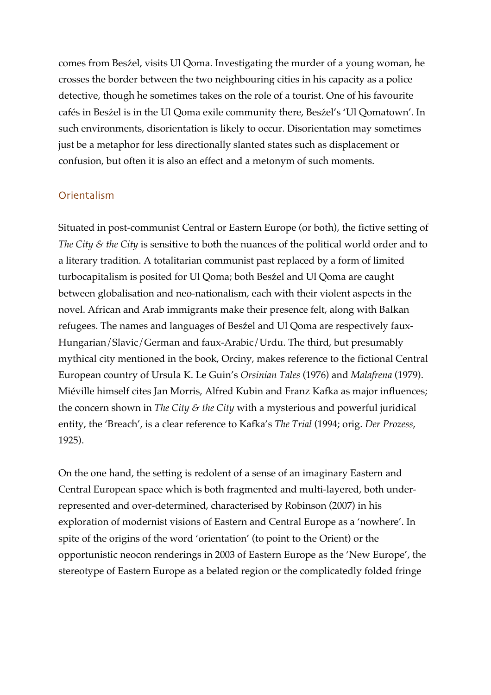comes from Besźel, visits Ul Qoma. Investigating the murder of a young woman, he crosses the border between the two neighbouring cities in his capacity as a police detective, though he sometimes takes on the role of a tourist. One of his favourite cafés in Besźel is in the Ul Qoma exile community there, Besźel's 'Ul Qomatown'. In such environments, disorientation is likely to occur. Disorientation may sometimes just be a metaphor for less directionally slanted states such as displacement or confusion, but often it is also an effect and a metonym of such moments.

# Orientalism

Situated in post-communist Central or Eastern Europe (or both), the fictive setting of *The City & the City* is sensitive to both the nuances of the political world order and to a literary tradition. A totalitarian communist past replaced by a form of limited turbocapitalism is posited for Ul Qoma; both Besźel and Ul Qoma are caught between globalisation and neo-nationalism, each with their violent aspects in the novel. African and Arab immigrants make their presence felt, along with Balkan refugees. The names and languages of Besźel and Ul Qoma are respectively faux-Hungarian/Slavic/German and faux-Arabic/Urdu. The third, but presumably mythical city mentioned in the book, Orciny, makes reference to the fictional Central European country of Ursula K. Le Guin's *Orsinian Tales* (1976) and *Malafrena* (1979). Miéville himself cites Jan Morris, Alfred Kubin and Franz Kafka as major influences; the concern shown in *The City & the City* with a mysterious and powerful juridical entity, the 'Breach', is a clear reference to Kafka's *The Trial* (1994; orig. *Der Prozess*, 1925).

On the one hand, the setting is redolent of a sense of an imaginary Eastern and Central European space which is both fragmented and multi-layered, both underrepresented and over-determined, characterised by Robinson (2007) in his exploration of modernist visions of Eastern and Central Europe as a 'nowhere'. In spite of the origins of the word 'orientation' (to point to the Orient) or the opportunistic neocon renderings in 2003 of Eastern Europe as the 'New Europe', the stereotype of Eastern Europe as a belated region or the complicatedly folded fringe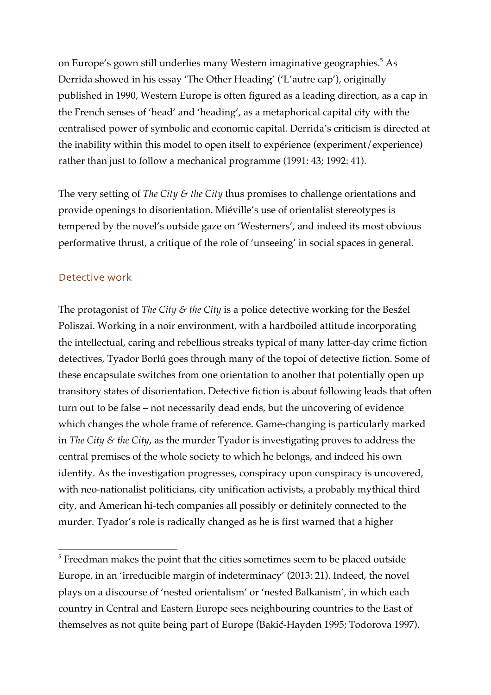on Europe's gown still underlies many Western imaginative geographies.<sup>5</sup> As Derrida showed in his essay 'The Other Heading' ('L'autre cap'), originally published in 1990, Western Europe is often figured as a leading direction, as a cap in the French senses of 'head' and 'heading', as a metaphorical capital city with the centralised power of symbolic and economic capital. Derrida's criticism is directed at the inability within this model to open itself to expérience (experiment/experience) rather than just to follow a mechanical programme (1991: 43; 1992: 41).

The very setting of *The City & the City* thus promises to challenge orientations and provide openings to disorientation. Miéville's use of orientalist stereotypes is tempered by the novel's outside gaze on 'Westerners', and indeed its most obvious performative thrust, a critique of the role of 'unseeing' in social spaces in general.

# Detective work

The protagonist of *The City & the City* is a police detective working for the Besźel Poliszai. Working in a noir environment, with a hardboiled attitude incorporating the intellectual, caring and rebellious streaks typical of many latter-day crime fiction detectives, Tyador Borlú goes through many of the topoi of detective fiction. Some of these encapsulate switches from one orientation to another that potentially open up transitory states of disorientation. Detective fiction is about following leads that often turn out to be false – not necessarily dead ends, but the uncovering of evidence which changes the whole frame of reference. Game-changing is particularly marked in *The City & the City*, as the murder Tyador is investigating proves to address the central premises of the whole society to which he belongs, and indeed his own identity. As the investigation progresses, conspiracy upon conspiracy is uncovered, with neo-nationalist politicians, city unification activists, a probably mythical third city, and American hi-tech companies all possibly or definitely connected to the murder. Tyador's role is radically changed as he is first warned that a higher

<sup>&</sup>lt;sup>5</sup> Freedman makes the point that the cities sometimes seem to be placed outside Europe, in an 'irreducible margin of indeterminacy' (2013: 21). Indeed, the novel plays on a discourse of 'nested orientalism' or 'nested Balkanism', in which each country in Central and Eastern Europe sees neighbouring countries to the East of themselves as not quite being part of Europe (Bakić-Hayden 1995; Todorova 1997).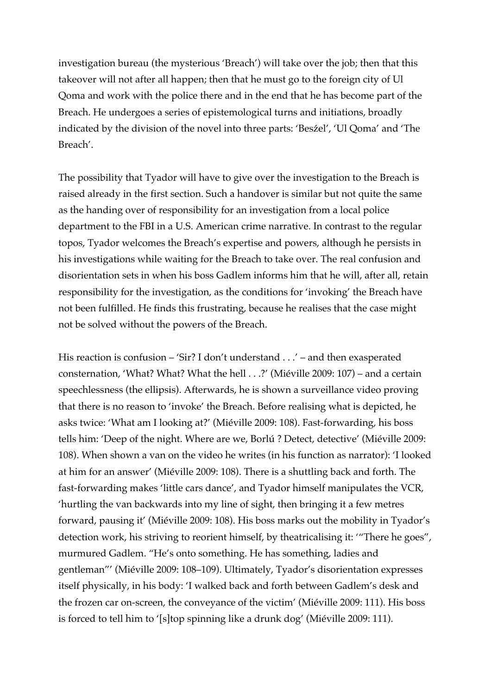investigation bureau (the mysterious 'Breach') will take over the job; then that this takeover will not after all happen; then that he must go to the foreign city of Ul Qoma and work with the police there and in the end that he has become part of the Breach. He undergoes a series of epistemological turns and initiations, broadly indicated by the division of the novel into three parts: 'Besźel', 'Ul Qoma' and 'The Breach'.

The possibility that Tyador will have to give over the investigation to the Breach is raised already in the first section. Such a handover is similar but not quite the same as the handing over of responsibility for an investigation from a local police department to the FBI in a U.S. American crime narrative. In contrast to the regular topos, Tyador welcomes the Breach's expertise and powers, although he persists in his investigations while waiting for the Breach to take over. The real confusion and disorientation sets in when his boss Gadlem informs him that he will, after all, retain responsibility for the investigation, as the conditions for 'invoking' the Breach have not been fulfilled. He finds this frustrating, because he realises that the case might not be solved without the powers of the Breach.

His reaction is confusion – 'Sir? I don't understand . . .' – and then exasperated consternation, 'What? What? What the hell . . .?' (Miéville 2009: 107) – and a certain speechlessness (the ellipsis). Afterwards, he is shown a surveillance video proving that there is no reason to 'invoke' the Breach. Before realising what is depicted, he asks twice: 'What am I looking at?' (Miéville 2009: 108). Fast-forwarding, his boss tells him: 'Deep of the night. Where are we, Borlú ? Detect, detective' (Miéville 2009: 108). When shown a van on the video he writes (in his function as narrator): 'I looked at him for an answer' (Miéville 2009: 108). There is a shuttling back and forth. The fast-forwarding makes 'little cars dance', and Tyador himself manipulates the VCR, 'hurtling the van backwards into my line of sight, then bringing it a few metres forward, pausing it' (Miéville 2009: 108). His boss marks out the mobility in Tyador's detection work, his striving to reorient himself, by theatricalising it: '"There he goes", murmured Gadlem. "He's onto something. He has something, ladies and gentleman"' (Miéville 2009: 108–109). Ultimately, Tyador's disorientation expresses itself physically, in his body: 'I walked back and forth between Gadlem's desk and the frozen car on-screen, the conveyance of the victim' (Miéville 2009: 111). His boss is forced to tell him to '[s]top spinning like a drunk dog' (Miéville 2009: 111).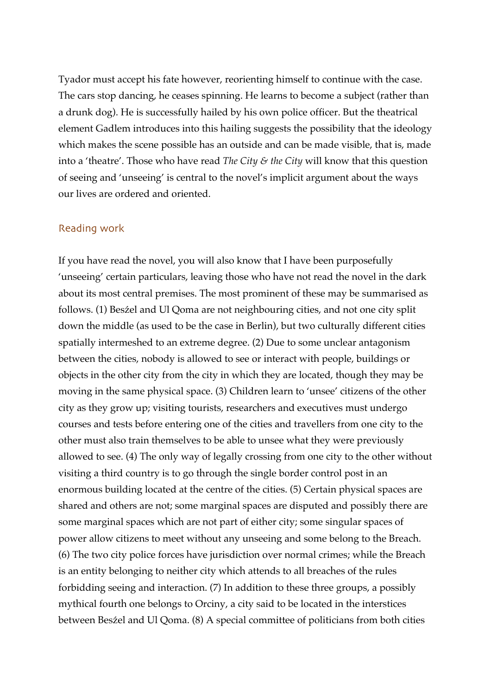Tyador must accept his fate however, reorienting himself to continue with the case. The cars stop dancing, he ceases spinning. He learns to become a subject (rather than a drunk dog). He is successfully hailed by his own police officer. But the theatrical element Gadlem introduces into this hailing suggests the possibility that the ideology which makes the scene possible has an outside and can be made visible, that is, made into a 'theatre'. Those who have read *The City & the City* will know that this question of seeing and 'unseeing' is central to the novel's implicit argument about the ways our lives are ordered and oriented.

#### Reading work

If you have read the novel, you will also know that I have been purposefully 'unseeing' certain particulars, leaving those who have not read the novel in the dark about its most central premises. The most prominent of these may be summarised as follows. (1) Besźel and Ul Qoma are not neighbouring cities, and not one city split down the middle (as used to be the case in Berlin), but two culturally different cities spatially intermeshed to an extreme degree. (2) Due to some unclear antagonism between the cities, nobody is allowed to see or interact with people, buildings or objects in the other city from the city in which they are located, though they may be moving in the same physical space. (3) Children learn to 'unsee' citizens of the other city as they grow up; visiting tourists, researchers and executives must undergo courses and tests before entering one of the cities and travellers from one city to the other must also train themselves to be able to unsee what they were previously allowed to see. (4) The only way of legally crossing from one city to the other without visiting a third country is to go through the single border control post in an enormous building located at the centre of the cities. (5) Certain physical spaces are shared and others are not; some marginal spaces are disputed and possibly there are some marginal spaces which are not part of either city; some singular spaces of power allow citizens to meet without any unseeing and some belong to the Breach. (6) The two city police forces have jurisdiction over normal crimes; while the Breach is an entity belonging to neither city which attends to all breaches of the rules forbidding seeing and interaction. (7) In addition to these three groups, a possibly mythical fourth one belongs to Orciny, a city said to be located in the interstices between Besźel and Ul Qoma. (8) A special committee of politicians from both cities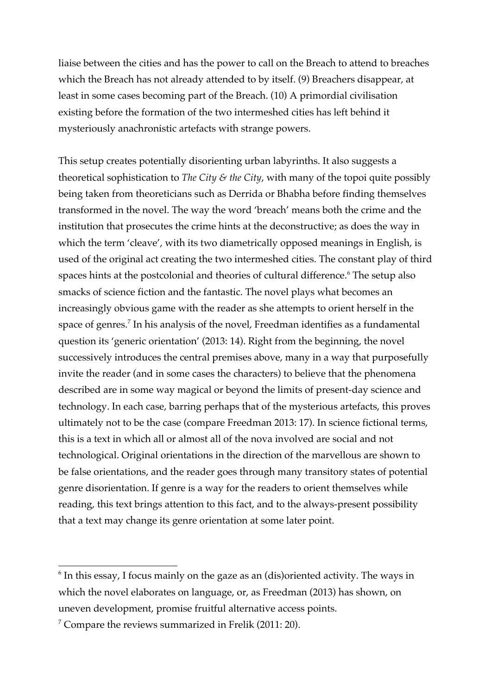liaise between the cities and has the power to call on the Breach to attend to breaches which the Breach has not already attended to by itself. (9) Breachers disappear, at least in some cases becoming part of the Breach. (10) A primordial civilisation existing before the formation of the two intermeshed cities has left behind it mysteriously anachronistic artefacts with strange powers.

This setup creates potentially disorienting urban labyrinths. It also suggests a theoretical sophistication to *The City & the City*, with many of the topoi quite possibly being taken from theoreticians such as Derrida or Bhabha before finding themselves transformed in the novel. The way the word 'breach' means both the crime and the institution that prosecutes the crime hints at the deconstructive; as does the way in which the term 'cleave', with its two diametrically opposed meanings in English, is used of the original act creating the two intermeshed cities. The constant play of third spaces hints at the postcolonial and theories of cultural difference.<sup>6</sup> The setup also smacks of science fiction and the fantastic. The novel plays what becomes an increasingly obvious game with the reader as she attempts to orient herself in the space of genres.<sup>7</sup> In his analysis of the novel, Freedman identifies as a fundamental question its 'generic orientation' (2013: 14). Right from the beginning, the novel successively introduces the central premises above, many in a way that purposefully invite the reader (and in some cases the characters) to believe that the phenomena described are in some way magical or beyond the limits of present-day science and technology. In each case, barring perhaps that of the mysterious artefacts, this proves ultimately not to be the case (compare Freedman 2013: 17). In science fictional terms, this is a text in which all or almost all of the nova involved are social and not technological. Original orientations in the direction of the marvellous are shown to be false orientations, and the reader goes through many transitory states of potential genre disorientation. If genre is a way for the readers to orient themselves while reading, this text brings attention to this fact, and to the always-present possibility that a text may change its genre orientation at some later point.

 $6$  In this essay, I focus mainly on the gaze as an (dis)oriented activity. The ways in which the novel elaborates on language, or, as Freedman (2013) has shown, on uneven development, promise fruitful alternative access points.

<sup>7</sup> Compare the reviews summarized in Frelik (2011: 20).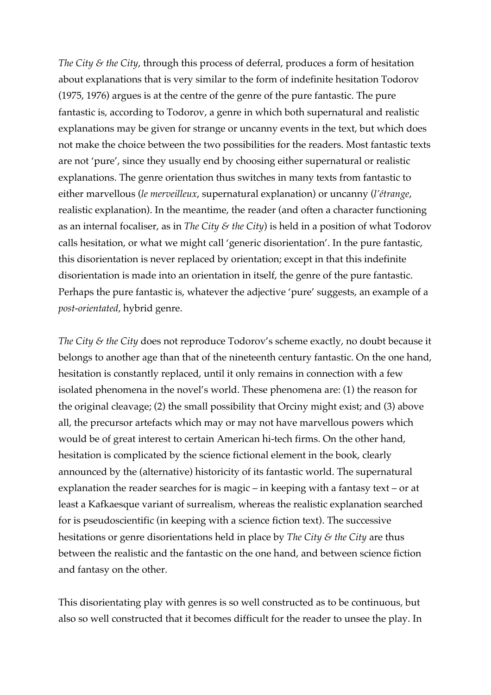*The City & the City*, through this process of deferral, produces a form of hesitation about explanations that is very similar to the form of indefinite hesitation Todorov (1975, 1976) argues is at the centre of the genre of the pure fantastic. The pure fantastic is, according to Todorov, a genre in which both supernatural and realistic explanations may be given for strange or uncanny events in the text, but which does not make the choice between the two possibilities for the readers. Most fantastic texts are not 'pure', since they usually end by choosing either supernatural or realistic explanations. The genre orientation thus switches in many texts from fantastic to either marvellous (*le merveilleux*, supernatural explanation) or uncanny (*l'étrange*, realistic explanation). In the meantime, the reader (and often a character functioning as an internal focaliser, as in *The City & the City*) is held in a position of what Todorov calls hesitation, or what we might call 'generic disorientation'. In the pure fantastic, this disorientation is never replaced by orientation; except in that this indefinite disorientation is made into an orientation in itself, the genre of the pure fantastic. Perhaps the pure fantastic is, whatever the adjective 'pure' suggests, an example of a *post-orientated*, hybrid genre.

*The City & the City* does not reproduce Todorov's scheme exactly, no doubt because it belongs to another age than that of the nineteenth century fantastic. On the one hand, hesitation is constantly replaced, until it only remains in connection with a few isolated phenomena in the novel's world. These phenomena are: (1) the reason for the original cleavage; (2) the small possibility that Orciny might exist; and (3) above all, the precursor artefacts which may or may not have marvellous powers which would be of great interest to certain American hi-tech firms. On the other hand, hesitation is complicated by the science fictional element in the book, clearly announced by the (alternative) historicity of its fantastic world. The supernatural explanation the reader searches for is magic – in keeping with a fantasy text – or at least a Kafkaesque variant of surrealism, whereas the realistic explanation searched for is pseudoscientific (in keeping with a science fiction text). The successive hesitations or genre disorientations held in place by *The City & the City* are thus between the realistic and the fantastic on the one hand, and between science fiction and fantasy on the other.

This disorientating play with genres is so well constructed as to be continuous, but also so well constructed that it becomes difficult for the reader to unsee the play. In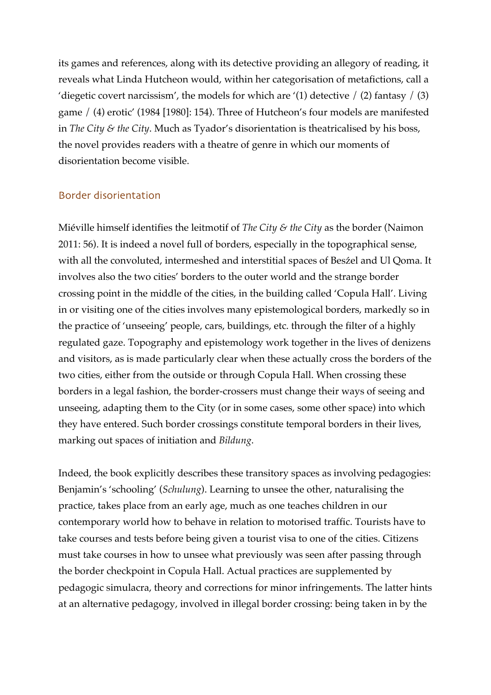its games and references, along with its detective providing an allegory of reading, it reveals what Linda Hutcheon would, within her categorisation of metafictions, call a 'diegetic covert narcissism', the models for which are '(1) detective  $/$  (2) fantasy  $/$  (3) game / (4) erotic' (1984 [1980]: 154). Three of Hutcheon's four models are manifested in *The City & the City*. Much as Tyador's disorientation is theatricalised by his boss, the novel provides readers with a theatre of genre in which our moments of disorientation become visible.

### Border disorientation

Miéville himself identifies the leitmotif of *The City & the City* as the border (Naimon 2011: 56). It is indeed a novel full of borders, especially in the topographical sense, with all the convoluted, intermeshed and interstitial spaces of Besźel and Ul Qoma. It involves also the two cities' borders to the outer world and the strange border crossing point in the middle of the cities, in the building called 'Copula Hall'. Living in or visiting one of the cities involves many epistemological borders, markedly so in the practice of 'unseeing' people, cars, buildings, etc. through the filter of a highly regulated gaze. Topography and epistemology work together in the lives of denizens and visitors, as is made particularly clear when these actually cross the borders of the two cities, either from the outside or through Copula Hall. When crossing these borders in a legal fashion, the border-crossers must change their ways of seeing and unseeing, adapting them to the City (or in some cases, some other space) into which they have entered. Such border crossings constitute temporal borders in their lives, marking out spaces of initiation and *Bildung*.

Indeed, the book explicitly describes these transitory spaces as involving pedagogies: Benjamin's 'schooling' (*Schulung*). Learning to unsee the other, naturalising the practice, takes place from an early age, much as one teaches children in our contemporary world how to behave in relation to motorised traffic. Tourists have to take courses and tests before being given a tourist visa to one of the cities. Citizens must take courses in how to unsee what previously was seen after passing through the border checkpoint in Copula Hall. Actual practices are supplemented by pedagogic simulacra, theory and corrections for minor infringements. The latter hints at an alternative pedagogy, involved in illegal border crossing: being taken in by the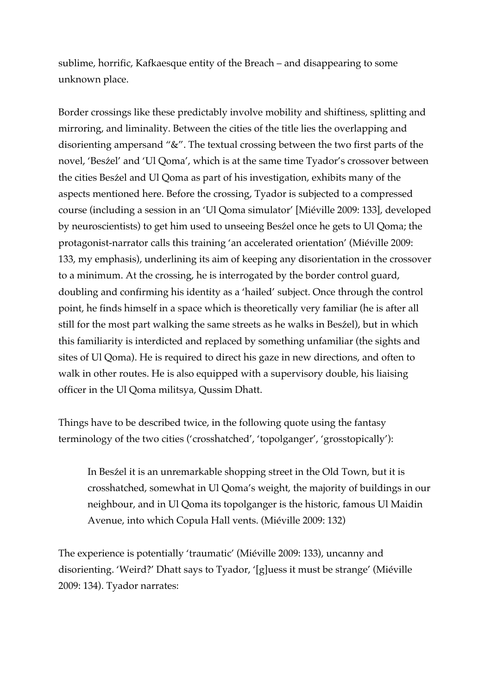sublime, horrific, Kafkaesque entity of the Breach – and disappearing to some unknown place.

Border crossings like these predictably involve mobility and shiftiness, splitting and mirroring, and liminality. Between the cities of the title lies the overlapping and disorienting ampersand "&". The textual crossing between the two first parts of the novel, 'Besźel' and 'Ul Qoma', which is at the same time Tyador's crossover between the cities Besźel and Ul Qoma as part of his investigation, exhibits many of the aspects mentioned here. Before the crossing, Tyador is subjected to a compressed course (including a session in an 'Ul Qoma simulator' [Miéville 2009: 133], developed by neuroscientists) to get him used to unseeing Besźel once he gets to Ul Qoma; the protagonist-narrator calls this training 'an accelerated orientation' (Miéville 2009: 133, my emphasis), underlining its aim of keeping any disorientation in the crossover to a minimum. At the crossing, he is interrogated by the border control guard, doubling and confirming his identity as a 'hailed' subject. Once through the control point, he finds himself in a space which is theoretically very familiar (he is after all still for the most part walking the same streets as he walks in Besźel), but in which this familiarity is interdicted and replaced by something unfamiliar (the sights and sites of Ul Qoma). He is required to direct his gaze in new directions, and often to walk in other routes. He is also equipped with a supervisory double, his liaising officer in the Ul Qoma militsya, Qussim Dhatt.

Things have to be described twice, in the following quote using the fantasy terminology of the two cities ('crosshatched', 'topolganger', 'grosstopically'):

In Besźel it is an unremarkable shopping street in the Old Town, but it is crosshatched, somewhat in Ul Qoma's weight, the majority of buildings in our neighbour, and in Ul Qoma its topolganger is the historic, famous Ul Maidin Avenue, into which Copula Hall vents. (Miéville 2009: 132)

The experience is potentially 'traumatic' (Miéville 2009: 133), uncanny and disorienting. 'Weird?' Dhatt says to Tyador, '[g]uess it must be strange' (Miéville 2009: 134). Tyador narrates: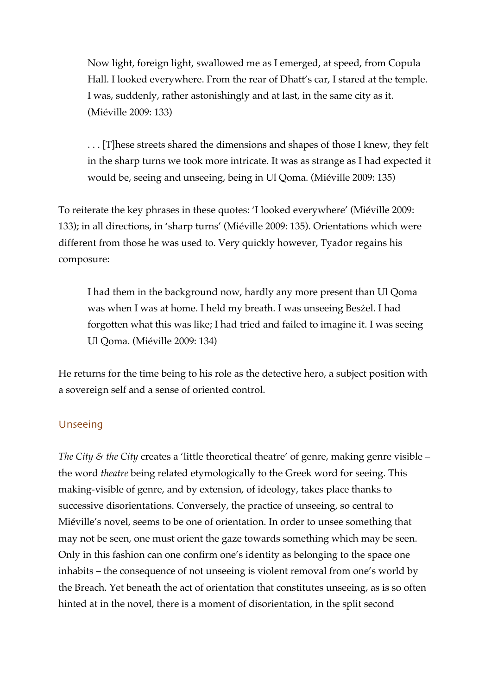Now light, foreign light, swallowed me as I emerged, at speed, from Copula Hall. I looked everywhere. From the rear of Dhatt's car, I stared at the temple. I was, suddenly, rather astonishingly and at last, in the same city as it. (Miéville 2009: 133)

. . . [T]hese streets shared the dimensions and shapes of those I knew, they felt in the sharp turns we took more intricate. It was as strange as I had expected it would be, seeing and unseeing, being in Ul Qoma. (Miéville 2009: 135)

To reiterate the key phrases in these quotes: 'I looked everywhere' (Miéville 2009: 133); in all directions, in 'sharp turns' (Miéville 2009: 135). Orientations which were different from those he was used to. Very quickly however, Tyador regains his composure:

I had them in the background now, hardly any more present than Ul Qoma was when I was at home. I held my breath. I was unseeing Besźel. I had forgotten what this was like; I had tried and failed to imagine it. I was seeing Ul Qoma. (Miéville 2009: 134)

He returns for the time being to his role as the detective hero, a subject position with a sovereign self and a sense of oriented control.

# Unseeing

*The City & the City* creates a 'little theoretical theatre' of genre, making genre visible – the word *theatre* being related etymologically to the Greek word for seeing. This making-visible of genre, and by extension, of ideology, takes place thanks to successive disorientations. Conversely, the practice of unseeing, so central to Miéville's novel, seems to be one of orientation. In order to unsee something that may not be seen, one must orient the gaze towards something which may be seen. Only in this fashion can one confirm one's identity as belonging to the space one inhabits – the consequence of not unseeing is violent removal from one's world by the Breach. Yet beneath the act of orientation that constitutes unseeing, as is so often hinted at in the novel, there is a moment of disorientation, in the split second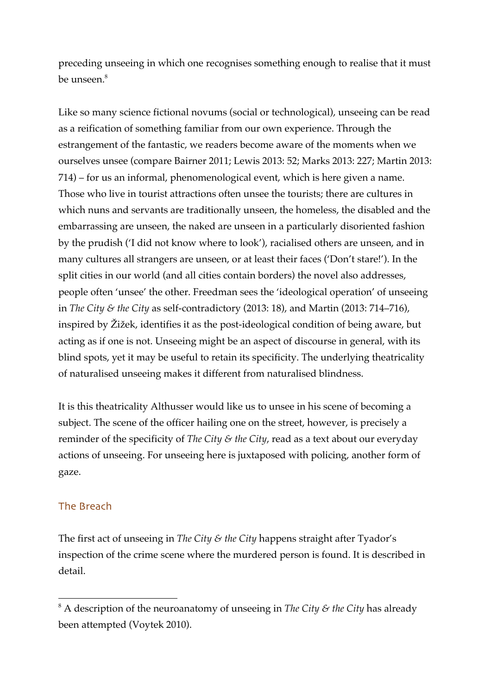preceding unseeing in which one recognises something enough to realise that it must be unseen.<sup>8</sup>

Like so many science fictional novums (social or technological), unseeing can be read as a reification of something familiar from our own experience. Through the estrangement of the fantastic, we readers become aware of the moments when we ourselves unsee (compare Bairner 2011; Lewis 2013: 52; Marks 2013: 227; Martin 2013: 714) – for us an informal, phenomenological event, which is here given a name. Those who live in tourist attractions often unsee the tourists; there are cultures in which nuns and servants are traditionally unseen, the homeless, the disabled and the embarrassing are unseen, the naked are unseen in a particularly disoriented fashion by the prudish ('I did not know where to look'), racialised others are unseen, and in many cultures all strangers are unseen, or at least their faces ('Don't stare!'). In the split cities in our world (and all cities contain borders) the novel also addresses, people often 'unsee' the other. Freedman sees the 'ideological operation' of unseeing in *The City & the City* as self-contradictory (2013: 18), and Martin (2013: 714–716), inspired by Žižek, identifies it as the post-ideological condition of being aware, but acting as if one is not. Unseeing might be an aspect of discourse in general, with its blind spots, yet it may be useful to retain its specificity. The underlying theatricality of naturalised unseeing makes it different from naturalised blindness.

It is this theatricality Althusser would like us to unsee in his scene of becoming a subject. The scene of the officer hailing one on the street, however, is precisely a reminder of the specificity of *The City & the City*, read as a text about our everyday actions of unseeing. For unseeing here is juxtaposed with policing, another form of gaze.

# The Breach

The first act of unseeing in *The City & the City* happens straight after Tyador's inspection of the crime scene where the murdered person is found. It is described in detail.

 $8$  A description of the neuroanatomy of unseeing in *The City & the City* has already been attempted (Voytek 2010).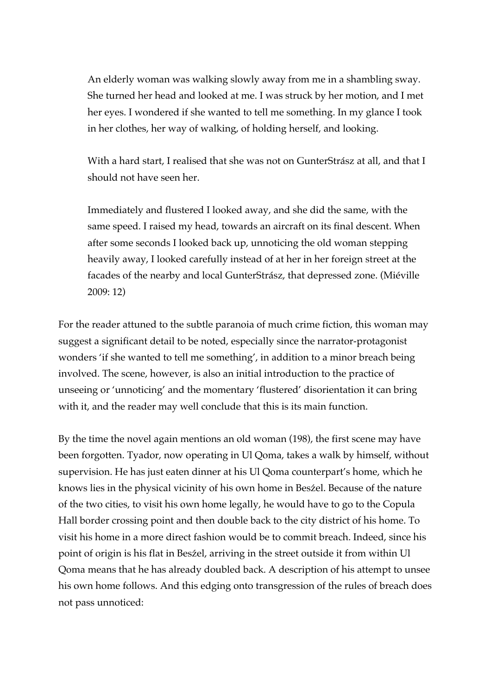An elderly woman was walking slowly away from me in a shambling sway. She turned her head and looked at me. I was struck by her motion, and I met her eyes. I wondered if she wanted to tell me something. In my glance I took in her clothes, her way of walking, of holding herself, and looking.

With a hard start, I realised that she was not on GunterStrász at all, and that I should not have seen her.

Immediately and flustered I looked away, and she did the same, with the same speed. I raised my head, towards an aircraft on its final descent. When after some seconds I looked back up, unnoticing the old woman stepping heavily away, I looked carefully instead of at her in her foreign street at the facades of the nearby and local GunterStrász, that depressed zone. (Miéville 2009: 12)

For the reader attuned to the subtle paranoia of much crime fiction, this woman may suggest a significant detail to be noted, especially since the narrator-protagonist wonders 'if she wanted to tell me something', in addition to a minor breach being involved. The scene, however, is also an initial introduction to the practice of unseeing or 'unnoticing' and the momentary 'flustered' disorientation it can bring with it, and the reader may well conclude that this is its main function.

By the time the novel again mentions an old woman (198), the first scene may have been forgotten. Tyador, now operating in Ul Qoma, takes a walk by himself, without supervision. He has just eaten dinner at his Ul Qoma counterpart's home, which he knows lies in the physical vicinity of his own home in Besźel. Because of the nature of the two cities, to visit his own home legally, he would have to go to the Copula Hall border crossing point and then double back to the city district of his home. To visit his home in a more direct fashion would be to commit breach. Indeed, since his point of origin is his flat in Besźel, arriving in the street outside it from within Ul Qoma means that he has already doubled back. A description of his attempt to unsee his own home follows. And this edging onto transgression of the rules of breach does not pass unnoticed: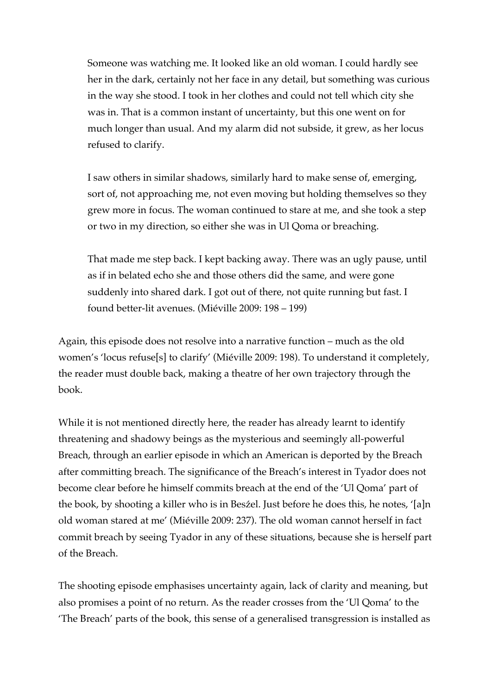Someone was watching me. It looked like an old woman. I could hardly see her in the dark, certainly not her face in any detail, but something was curious in the way she stood. I took in her clothes and could not tell which city she was in. That is a common instant of uncertainty, but this one went on for much longer than usual. And my alarm did not subside, it grew, as her locus refused to clarify.

I saw others in similar shadows, similarly hard to make sense of, emerging, sort of, not approaching me, not even moving but holding themselves so they grew more in focus. The woman continued to stare at me, and she took a step or two in my direction, so either she was in Ul Qoma or breaching.

That made me step back. I kept backing away. There was an ugly pause, until as if in belated echo she and those others did the same, and were gone suddenly into shared dark. I got out of there, not quite running but fast. I found better-lit avenues. (Miéville 2009: 198 – 199)

Again, this episode does not resolve into a narrative function – much as the old women's 'locus refuse[s] to clarify' (Miéville 2009: 198). To understand it completely, the reader must double back, making a theatre of her own trajectory through the book.

While it is not mentioned directly here, the reader has already learnt to identify threatening and shadowy beings as the mysterious and seemingly all-powerful Breach, through an earlier episode in which an American is deported by the Breach after committing breach. The significance of the Breach's interest in Tyador does not become clear before he himself commits breach at the end of the 'Ul Qoma' part of the book, by shooting a killer who is in Besźel. Just before he does this, he notes, '[a]n old woman stared at me' (Miéville 2009: 237). The old woman cannot herself in fact commit breach by seeing Tyador in any of these situations, because she is herself part of the Breach.

The shooting episode emphasises uncertainty again, lack of clarity and meaning, but also promises a point of no return. As the reader crosses from the 'Ul Qoma' to the 'The Breach' parts of the book, this sense of a generalised transgression is installed as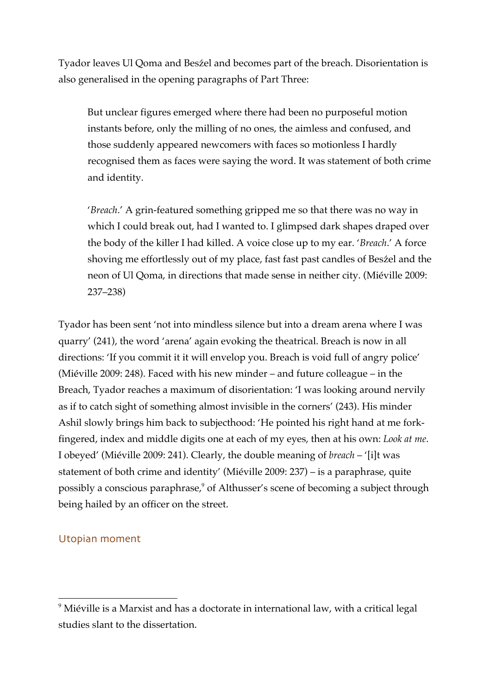Tyador leaves Ul Qoma and Besźel and becomes part of the breach. Disorientation is also generalised in the opening paragraphs of Part Three:

But unclear figures emerged where there had been no purposeful motion instants before, only the milling of no ones, the aimless and confused, and those suddenly appeared newcomers with faces so motionless I hardly recognised them as faces were saying the word. It was statement of both crime and identity.

'*Breach*.' A grin-featured something gripped me so that there was no way in which I could break out, had I wanted to. I glimpsed dark shapes draped over the body of the killer I had killed. A voice close up to my ear. '*Breach*.' A force shoving me effortlessly out of my place, fast fast past candles of Besźel and the neon of Ul Qoma, in directions that made sense in neither city. (Miéville 2009: 237–238)

Tyador has been sent 'not into mindless silence but into a dream arena where I was quarry' (241), the word 'arena' again evoking the theatrical. Breach is now in all directions: 'If you commit it it will envelop you. Breach is void full of angry police' (Miéville 2009: 248). Faced with his new minder – and future colleague – in the Breach, Tyador reaches a maximum of disorientation: 'I was looking around nervily as if to catch sight of something almost invisible in the corners' (243). His minder Ashil slowly brings him back to subjecthood: 'He pointed his right hand at me forkfingered, index and middle digits one at each of my eyes, then at his own: *Look at me*. I obeyed' (Miéville 2009: 241). Clearly, the double meaning of *breach* – '[i]t was statement of both crime and identity' (Miéville 2009: 237) – is a paraphrase, quite possibly a conscious paraphrase,<sup>9</sup> of Althusser's scene of becoming a subject through being hailed by an officer on the street.

# Utopian moment

 $9$  Miéville is a Marxist and has a doctorate in international law, with a critical legal studies slant to the dissertation.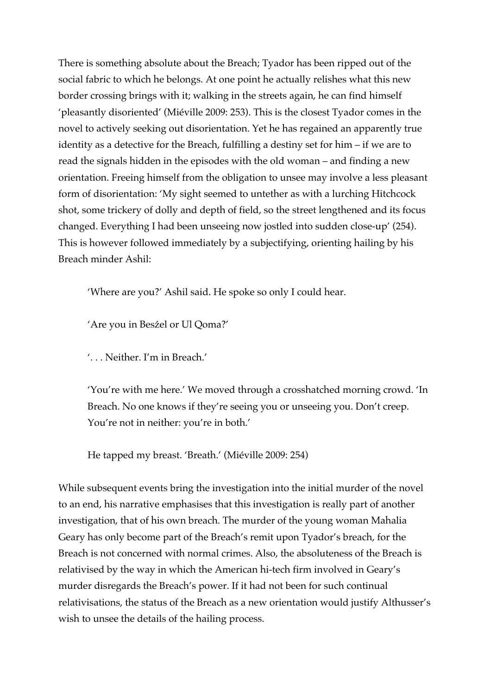There is something absolute about the Breach; Tyador has been ripped out of the social fabric to which he belongs. At one point he actually relishes what this new border crossing brings with it; walking in the streets again, he can find himself 'pleasantly disoriented' (Miéville 2009: 253). This is the closest Tyador comes in the novel to actively seeking out disorientation. Yet he has regained an apparently true identity as a detective for the Breach, fulfilling a destiny set for him – if we are to read the signals hidden in the episodes with the old woman – and finding a new orientation. Freeing himself from the obligation to unsee may involve a less pleasant form of disorientation: 'My sight seemed to untether as with a lurching Hitchcock shot, some trickery of dolly and depth of field, so the street lengthened and its focus changed. Everything I had been unseeing now jostled into sudden close-up' (254). This is however followed immediately by a subjectifying, orienting hailing by his Breach minder Ashil:

'Where are you?' Ashil said. He spoke so only I could hear.

'Are you in Besźel or Ul Qoma?'

'. . . Neither. I'm in Breach.'

'You're with me here.' We moved through a crosshatched morning crowd. 'In Breach. No one knows if they're seeing you or unseeing you. Don't creep. You're not in neither: you're in both.'

He tapped my breast. 'Breath.' (Miéville 2009: 254)

While subsequent events bring the investigation into the initial murder of the novel to an end, his narrative emphasises that this investigation is really part of another investigation, that of his own breach. The murder of the young woman Mahalia Geary has only become part of the Breach's remit upon Tyador's breach, for the Breach is not concerned with normal crimes. Also, the absoluteness of the Breach is relativised by the way in which the American hi-tech firm involved in Geary's murder disregards the Breach's power. If it had not been for such continual relativisations, the status of the Breach as a new orientation would justify Althusser's wish to unsee the details of the hailing process.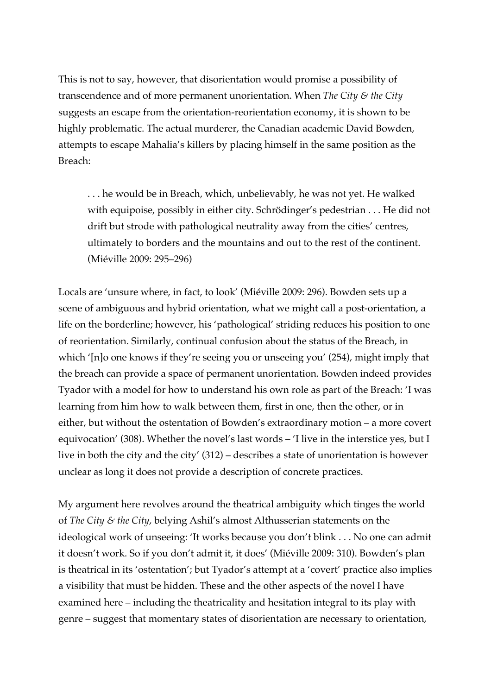This is not to say, however, that disorientation would promise a possibility of transcendence and of more permanent unorientation. When *The City & the City* suggests an escape from the orientation-reorientation economy, it is shown to be highly problematic. The actual murderer, the Canadian academic David Bowden, attempts to escape Mahalia's killers by placing himself in the same position as the Breach:

. . . he would be in Breach, which, unbelievably, he was not yet. He walked with equipoise, possibly in either city. Schrödinger's pedestrian . . . He did not drift but strode with pathological neutrality away from the cities' centres, ultimately to borders and the mountains and out to the rest of the continent. (Miéville 2009: 295–296)

Locals are 'unsure where, in fact, to look' (Miéville 2009: 296). Bowden sets up a scene of ambiguous and hybrid orientation, what we might call a post-orientation, a life on the borderline; however, his 'pathological' striding reduces his position to one of reorientation. Similarly, continual confusion about the status of the Breach, in which '[n]o one knows if they're seeing you or unseeing you' (254), might imply that the breach can provide a space of permanent unorientation. Bowden indeed provides Tyador with a model for how to understand his own role as part of the Breach: 'I was learning from him how to walk between them, first in one, then the other, or in either, but without the ostentation of Bowden's extraordinary motion – a more covert equivocation' (308). Whether the novel's last words – 'I live in the interstice yes, but I live in both the city and the city' (312) – describes a state of unorientation is however unclear as long it does not provide a description of concrete practices.

My argument here revolves around the theatrical ambiguity which tinges the world of *The City & the City*, belying Ashil's almost Althusserian statements on the ideological work of unseeing: 'It works because you don't blink . . . No one can admit it doesn't work. So if you don't admit it, it does' (Miéville 2009: 310). Bowden's plan is theatrical in its 'ostentation'; but Tyador's attempt at a 'covert' practice also implies a visibility that must be hidden. These and the other aspects of the novel I have examined here – including the theatricality and hesitation integral to its play with genre – suggest that momentary states of disorientation are necessary to orientation,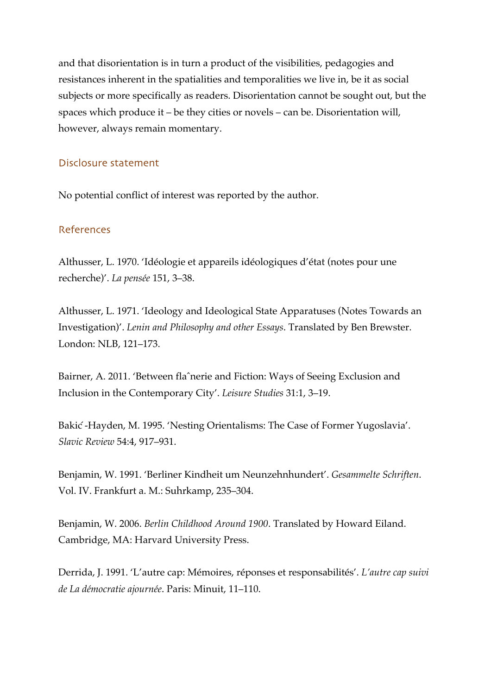and that disorientation is in turn a product of the visibilities, pedagogies and resistances inherent in the spatialities and temporalities we live in, be it as social subjects or more specifically as readers. Disorientation cannot be sought out, but the spaces which produce it – be they cities or novels – can be. Disorientation will, however, always remain momentary.

# Disclosure statement

No potential conflict of interest was reported by the author.

# References

Althusser, L. 1970. 'Idéologie et appareils idéologiques d'état (notes pour une recherche)'. *La pensée* 151, 3–38.

Althusser, L. 1971. 'Ideology and Ideological State Apparatuses (Notes Towards an Investigation)'. *Lenin and Philosophy and other Essays*. Translated by Ben Brewster. London: NLB, 121–173.

Bairner, A. 2011. 'Between flaˆnerie and Fiction: Ways of Seeing Exclusion and Inclusion in the Contemporary City'. *Leisure Studies* 31:1, 3–19.

Bakić -Hayden, M. 1995. 'Nesting Orientalisms: The Case of Former Yugoslavia'. *Slavic Review* 54:4, 917–931.

Benjamin, W. 1991. 'Berliner Kindheit um Neunzehnhundert'. *Gesammelte Schriften*. Vol. IV. Frankfurt a. M.: Suhrkamp, 235–304.

Benjamin, W. 2006. *Berlin Childhood Around 1900*. Translated by Howard Eiland. Cambridge, MA: Harvard University Press.

Derrida, J. 1991. 'L'autre cap: Mémoires, réponses et responsabilités'. *L'autre cap suivi de La démocratie ajournée*. Paris: Minuit, 11–110.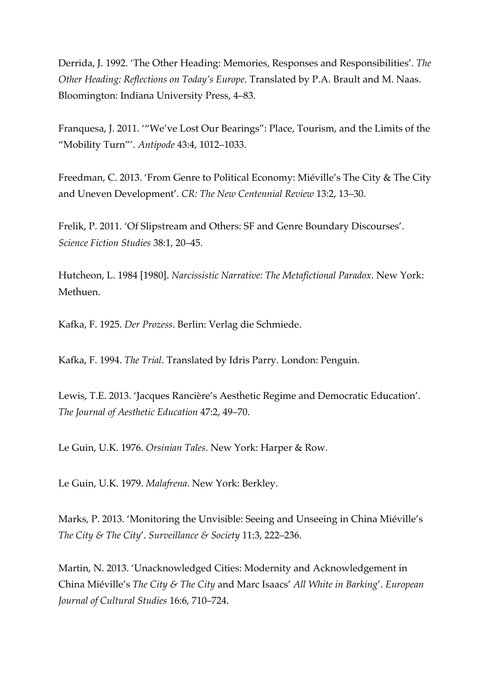Derrida, J. 1992. 'The Other Heading: Memories, Responses and Responsibilities'. *The Other Heading: Reflections on Today's Europe*. Translated by P.A. Brault and M. Naas. Bloomington: Indiana University Press, 4–83.

Franquesa, J. 2011. '"We've Lost Our Bearings": Place, Tourism, and the Limits of the "Mobility Turn"'. *Antipode* 43:4, 1012–1033.

Freedman, C. 2013. 'From Genre to Political Economy: Miéville's The City & The City and Uneven Development'. *CR: The New Centennial Review* 13:2, 13–30.

Frelik, P. 2011. 'Of Slipstream and Others: SF and Genre Boundary Discourses'. *Science Fiction Studies* 38:1, 20–45.

Hutcheon, L. 1984 [1980]. *Narcissistic Narrative: The Metafictional Paradox*. New York: Methuen.

Kafka, F. 1925. *Der Prozess*. Berlin: Verlag die Schmiede.

Kafka, F. 1994. *The Trial*. Translated by Idris Parry. London: Penguin.

Lewis, T.E. 2013. 'Jacques Rancière's Aesthetic Regime and Democratic Education'. *The Journal of Aesthetic Education* 47:2, 49–70.

Le Guin, U.K. 1976. *Orsinian Tales*. New York: Harper & Row.

Le Guin, U.K. 1979. *Malafrena*. New York: Berkley.

Marks, P. 2013. 'Monitoring the Unvisible: Seeing and Unseeing in China Miéville's *The City & The City*'. *Surveillance & Society* 11:3, 222–236.

Martin, N. 2013. 'Unacknowledged Cities: Modernity and Acknowledgement in China Miéville's *The City & The City* and Marc Isaacs' *All White in Barking*'. *European Journal of Cultural Studies* 16:6, 710–724.